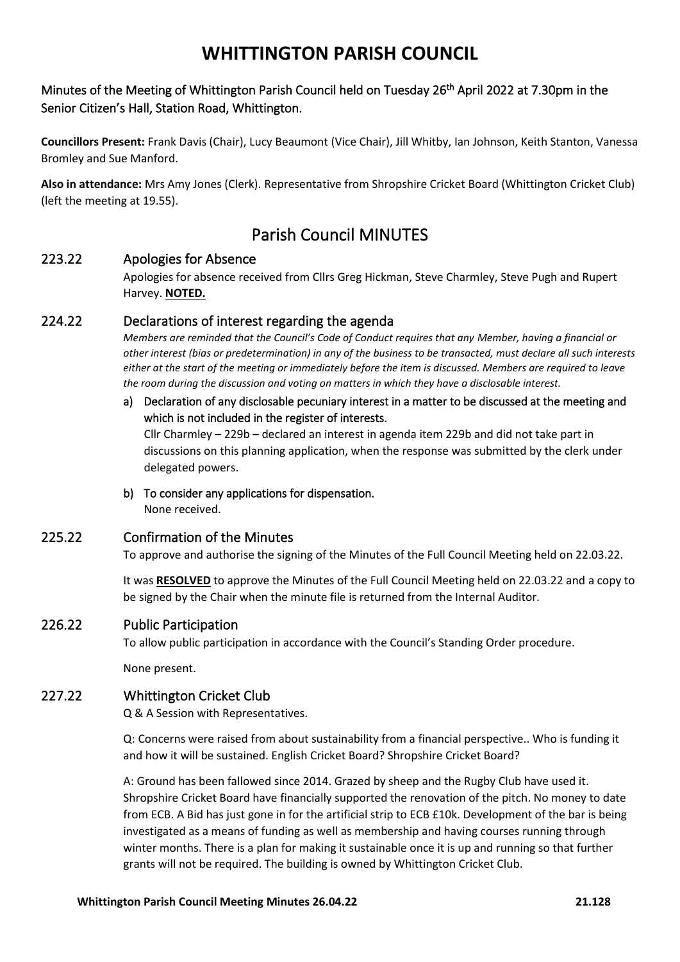# Minutes of the Meeting of Whittington Parish Council held on Tuesday 26<sup>th</sup> April 2022 at 7.30pm in the Senior Citizen's Hall, Station Road, Whittington.

**Councillors Present:** Frank Davis (Chair), Lucy Beaumont (Vice Chair), Jill Whitby, Ian Johnson, Keith Stanton, Vanessa Bromley and Sue Manford.

**Also in attendance:** Mrs Amy Jones (Clerk). Representative from Shropshire Cricket Board (Whittington Cricket Club) (left the meeting at 19.55).

# Parish Council MINUTES

# 223.22 Apologies for Absence

Apologies for absence received from Cllrs Greg Hickman, Steve Charmley, Steve Pugh and Rupert Harvey. **NOTED.**

# 224.22 Declarations of interest regarding the agenda

*Members are reminded that the Council's Code of Conduct requires that any Member, having a financial or other interest (bias or predetermination) in any of the business to be transacted, must declare all such interests either at the start of the meeting or immediately before the item is discussed. Members are required to leave the room during the discussion and voting on matters in which they have a disclosable interest.*

### a) Declaration of any disclosable pecuniary interest in a matter to be discussed at the meeting and which is not included in the register of interests.

Cllr Charmley – 229b – declared an interest in agenda item 229b and did not take part in discussions on this planning application, when the response was submitted by the clerk under delegated powers.

b) To consider any applications for dispensation. None received.

# 225.22 Confirmation of the Minutes

To approve and authorise the signing of the Minutes of the Full Council Meeting held on 22.03.22.

It was **RESOLVED** to approve the Minutes of the Full Council Meeting held on 22.03.22 and a copy to be signed by the Chair when the minute file is returned from the Internal Auditor.

# 226.22 Public Participation

To allow public participation in accordance with the Council's Standing Order procedure.

None present.

# 227.22 Whittington Cricket Club

Q & A Session with Representatives.

Q: Concerns were raised from about sustainability from a financial perspective.. Who is funding it and how it will be sustained. English Cricket Board? Shropshire Cricket Board?

A: Ground has been fallowed since 2014. Grazed by sheep and the Rugby Club have used it. Shropshire Cricket Board have financially supported the renovation of the pitch. No money to date from ECB. A Bid has just gone in for the artificial strip to ECB £10k. Development of the bar is being investigated as a means of funding as well as membership and having courses running through winter months. There is a plan for making it sustainable once it is up and running so that further grants will not be required. The building is owned by Whittington Cricket Club.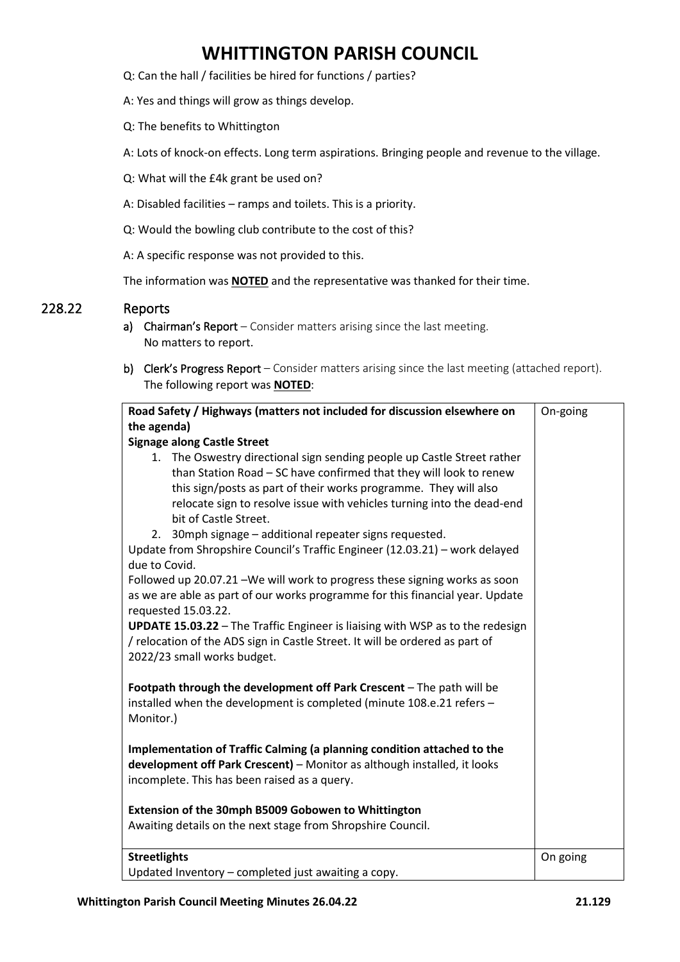- Q: Can the hall / facilities be hired for functions / parties?
- A: Yes and things will grow as things develop.
- Q: The benefits to Whittington
- A: Lots of knock-on effects. Long term aspirations. Bringing people and revenue to the village.
- Q: What will the £4k grant be used on?
- A: Disabled facilities ramps and toilets. This is a priority.
- Q: Would the bowling club contribute to the cost of this?

A: A specific response was not provided to this.

The information was **NOTED** and the representative was thanked for their time.

### 228.22 Reports

- a) Chairman's Report Consider matters arising since the last meeting. No matters to report.
- b) Clerk's Progress Report Consider matters arising since the last meeting (attached report). The following report was **NOTED**:

| Road Safety / Highways (matters not included for discussion elsewhere on                                                                                                                                                                                                                                                                                                                                                                                                                                                                                                                                                                                                                                                                                                                                                                                                       | On-going |
|--------------------------------------------------------------------------------------------------------------------------------------------------------------------------------------------------------------------------------------------------------------------------------------------------------------------------------------------------------------------------------------------------------------------------------------------------------------------------------------------------------------------------------------------------------------------------------------------------------------------------------------------------------------------------------------------------------------------------------------------------------------------------------------------------------------------------------------------------------------------------------|----------|
| the agenda)                                                                                                                                                                                                                                                                                                                                                                                                                                                                                                                                                                                                                                                                                                                                                                                                                                                                    |          |
| <b>Signage along Castle Street</b>                                                                                                                                                                                                                                                                                                                                                                                                                                                                                                                                                                                                                                                                                                                                                                                                                                             |          |
| 1. The Oswestry directional sign sending people up Castle Street rather<br>than Station Road - SC have confirmed that they will look to renew<br>this sign/posts as part of their works programme. They will also<br>relocate sign to resolve issue with vehicles turning into the dead-end<br>bit of Castle Street.<br>2. 30mph signage - additional repeater signs requested.<br>Update from Shropshire Council's Traffic Engineer (12.03.21) - work delayed<br>due to Covid.<br>Followed up 20.07.21 - We will work to progress these signing works as soon<br>as we are able as part of our works programme for this financial year. Update<br>requested 15.03.22.<br><b>UPDATE 15.03.22</b> - The Traffic Engineer is liaising with WSP as to the redesign<br>/ relocation of the ADS sign in Castle Street. It will be ordered as part of<br>2022/23 small works budget. |          |
| Footpath through the development off Park Crescent - The path will be<br>installed when the development is completed (minute 108.e.21 refers -<br>Monitor.)<br>Implementation of Traffic Calming (a planning condition attached to the<br>development off Park Crescent) - Monitor as although installed, it looks<br>incomplete. This has been raised as a query.<br>Extension of the 30mph B5009 Gobowen to Whittington<br>Awaiting details on the next stage from Shropshire Council.                                                                                                                                                                                                                                                                                                                                                                                       |          |
| <b>Streetlights</b><br>Updated Inventory - completed just awaiting a copy.                                                                                                                                                                                                                                                                                                                                                                                                                                                                                                                                                                                                                                                                                                                                                                                                     | On going |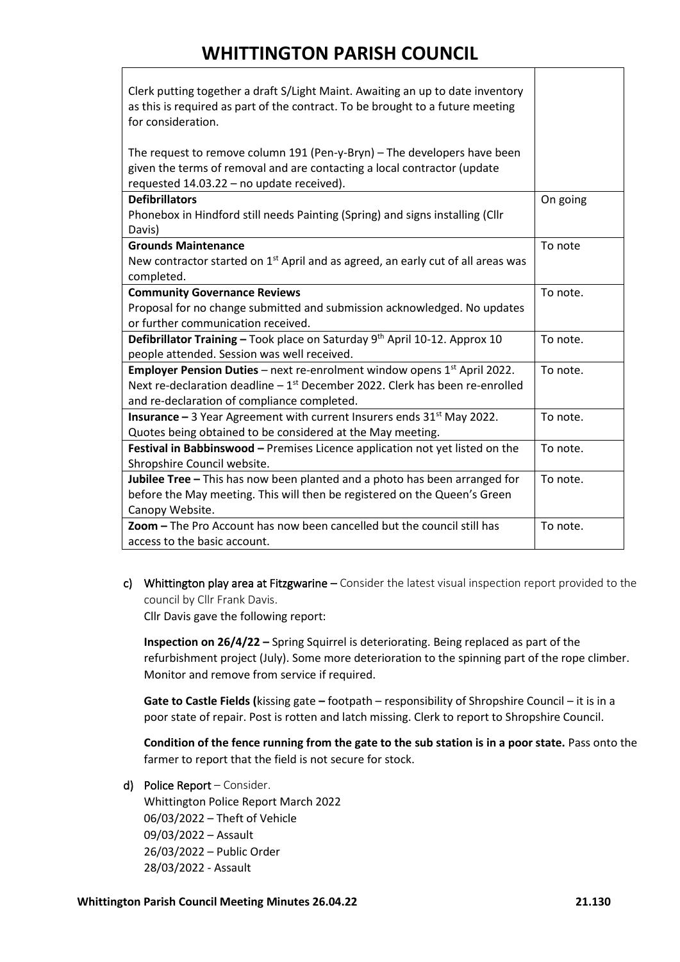| Clerk putting together a draft S/Light Maint. Awaiting an up to date inventory<br>as this is required as part of the contract. To be brought to a future meeting<br>for consideration.                                           |          |
|----------------------------------------------------------------------------------------------------------------------------------------------------------------------------------------------------------------------------------|----------|
| The request to remove column 191 (Pen-y-Bryn) - The developers have been<br>given the terms of removal and are contacting a local contractor (update<br>requested 14.03.22 - no update received).                                |          |
| <b>Defibrillators</b><br>Phonebox in Hindford still needs Painting (Spring) and signs installing (Cllr<br>Davis)                                                                                                                 | On going |
| <b>Grounds Maintenance</b><br>New contractor started on 1 <sup>st</sup> April and as agreed, an early cut of all areas was<br>completed.                                                                                         | To note  |
| <b>Community Governance Reviews</b><br>Proposal for no change submitted and submission acknowledged. No updates<br>or further communication received.                                                                            | To note. |
| Defibrillator Training - Took place on Saturday 9th April 10-12. Approx 10<br>people attended. Session was well received.                                                                                                        | To note. |
| Employer Pension Duties - next re-enrolment window opens 1 <sup>st</sup> April 2022.<br>Next re-declaration deadline $-1$ <sup>st</sup> December 2022. Clerk has been re-enrolled<br>and re-declaration of compliance completed. | To note. |
| <b>Insurance</b> $-3$ Year Agreement with current Insurers ends $31st$ May 2022.<br>Quotes being obtained to be considered at the May meeting.                                                                                   | To note. |
| Festival in Babbinswood - Premises Licence application not yet listed on the<br>Shropshire Council website.                                                                                                                      | To note. |
| Jubilee Tree - This has now been planted and a photo has been arranged for<br>before the May meeting. This will then be registered on the Queen's Green<br>Canopy Website.                                                       | To note. |
| Zoom - The Pro Account has now been cancelled but the council still has<br>access to the basic account.                                                                                                                          | To note. |

c) Whittington play area at Fitzgwarine – Consider the latest visual inspection report provided to the council by Cllr Frank Davis.

Cllr Davis gave the following report:

**Inspection on 26/4/22 –** Spring Squirrel is deteriorating. Being replaced as part of the refurbishment project (July). Some more deterioration to the spinning part of the rope climber. Monitor and remove from service if required.

**Gate to Castle Fields (**kissing gate **–** footpath – responsibility of Shropshire Council – it is in a poor state of repair. Post is rotten and latch missing. Clerk to report to Shropshire Council.

**Condition of the fence running from the gate to the sub station is in a poor state.** Pass onto the farmer to report that the field is not secure for stock.

d) Police Report – Consider.

Whittington Police Report March 2022 06/03/2022 – Theft of Vehicle 09/03/2022 – Assault 26/03/2022 – Public Order 28/03/2022 - Assault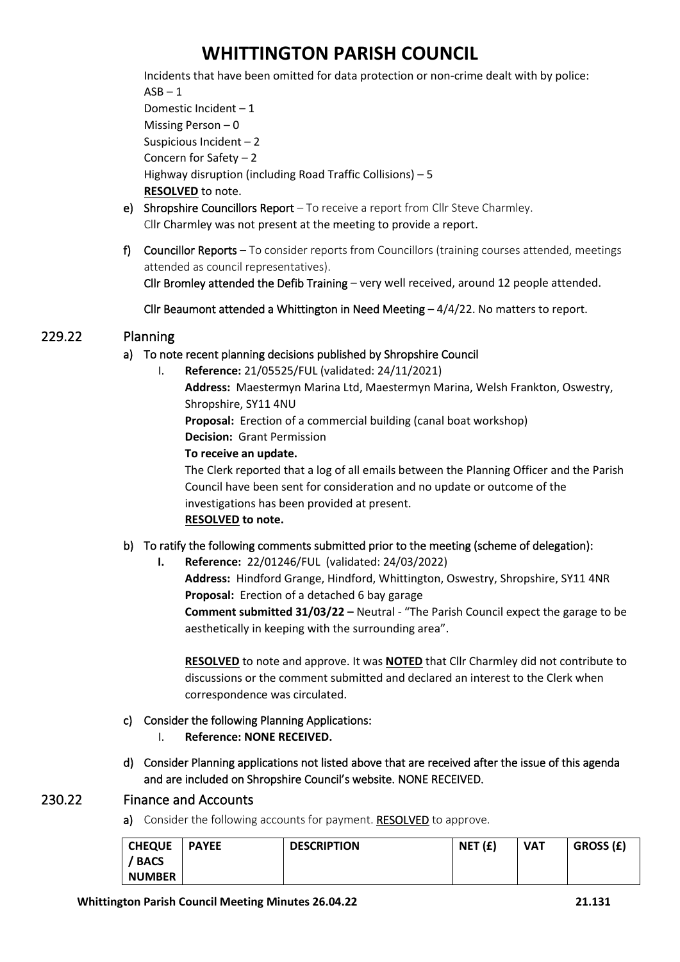Incidents that have been omitted for data protection or non-crime dealt with by police:  $ASB - 1$ 

Domestic Incident – 1 Missing Person – 0 Suspicious Incident – 2 Concern for Safety – 2 Highway disruption (including Road Traffic Collisions) – 5 **RESOLVED** to note. e) Shropshire Councillors Report – To receive a report from Cllr Steve Charmley.

- Cllr Charmley was not present at the meeting to provide a report.
- f) Councillor Reports To consider reports from Councillors (training courses attended, meetings attended as council representatives).

Cllr Bromley attended the Defib Training – very well received, around 12 people attended.

Cllr Beaumont attended a Whittington in Need Meeting – 4/4/22. No matters to report.

# 229.22 Planning

### a) To note recent planning decisions published by Shropshire Council

I. **Reference:** 21/05525/FUL (validated: 24/11/2021) **Address:** Maestermyn Marina Ltd, Maestermyn Marina, Welsh Frankton, Oswestry, Shropshire, SY11 4NU **Proposal:** Erection of a commercial building (canal boat workshop) **Decision:** Grant Permission **To receive an update.** The Clerk reported that a log of all emails between the Planning Officer and the Parish

Council have been sent for consideration and no update or outcome of the investigations has been provided at present. **RESOLVED to note.**

# b) To ratify the following comments submitted prior to the meeting (scheme of delegation):

**I. Reference:** 22/01246/FUL (validated: 24/03/2022) **Address:** Hindford Grange, Hindford, Whittington, Oswestry, Shropshire, SY11 4NR

**Proposal:** Erection of a detached 6 bay garage

**Comment submitted 31/03/22 –** Neutral - "The Parish Council expect the garage to be aesthetically in keeping with the surrounding area".

**RESOLVED** to note and approve. It was **NOTED** that Cllr Charmley did not contribute to discussions or the comment submitted and declared an interest to the Clerk when correspondence was circulated.

# c) Consider the following Planning Applications:

- I. **Reference: NONE RECEIVED.**
- d) Consider Planning applications not listed above that are received after the issue of this agenda and are included on Shropshire Council's website. NONE RECEIVED.

# 230.22 Finance and Accounts

a) Consider the following accounts for payment. RESOLVED to approve.

| <b>CHEQUE</b> | <b>PAYEE</b> | <b>DESCRIPTION</b> | NET(f) | <b>VAT</b> | GROSS (£) |
|---------------|--------------|--------------------|--------|------------|-----------|
| / BACS        |              |                    |        |            |           |
| <b>NUMBER</b> |              |                    |        |            |           |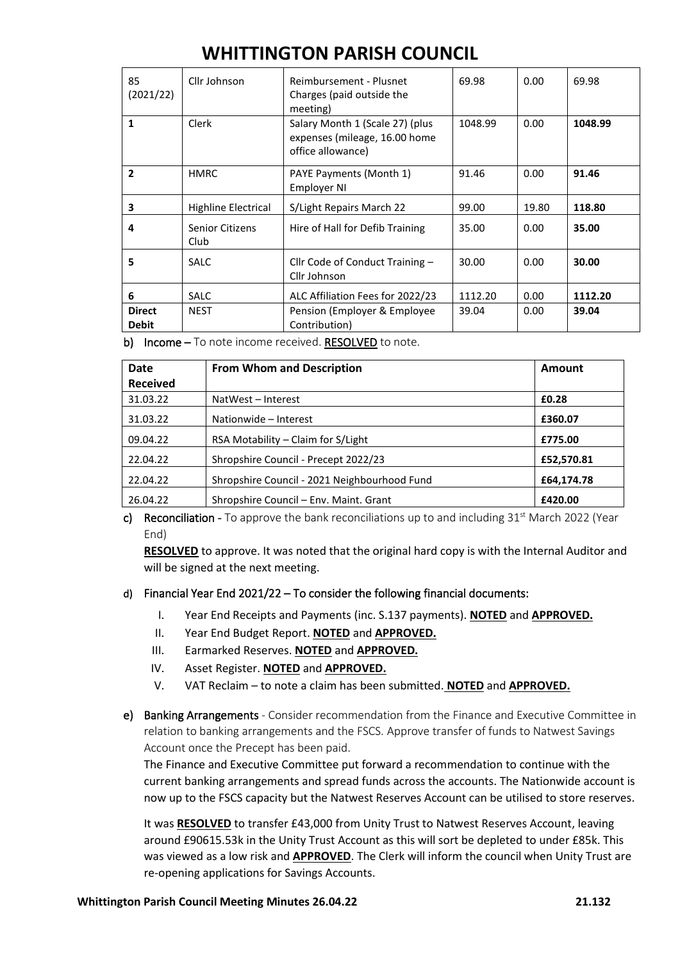| 85<br>(2021/22)        | Cllr Johnson               | Reimbursement - Plusnet<br>Charges (paid outside the<br>meeting)                      | 69.98   | 0.00  | 69.98   |
|------------------------|----------------------------|---------------------------------------------------------------------------------------|---------|-------|---------|
| $\mathbf{1}$           | Clerk                      | Salary Month 1 (Scale 27) (plus<br>expenses (mileage, 16.00 home<br>office allowance) | 1048.99 | 0.00  | 1048.99 |
| $\overline{2}$         | <b>HMRC</b>                | PAYE Payments (Month 1)<br>Employer NI                                                | 91.46   | 0.00  | 91.46   |
| 3                      | <b>Highline Electrical</b> | S/Light Repairs March 22                                                              | 99.00   | 19.80 | 118.80  |
| 4                      | Senior Citizens<br>Club    | Hire of Hall for Defib Training                                                       | 35.00   | 0.00  | 35.00   |
| 5                      | <b>SALC</b>                | Cllr Code of Conduct Training $-$<br>Cllr Johnson                                     | 30.00   | 0.00  | 30.00   |
| 6                      | <b>SALC</b>                | ALC Affiliation Fees for 2022/23                                                      | 1112.20 | 0.00  | 1112.20 |
| <b>Direct</b><br>Debit | <b>NEST</b>                | Pension (Employer & Employee<br>Contribution)                                         | 39.04   | 0.00  | 39.04   |

b) Income – To note income received. RESOLVED to note.

| <b>Date</b>     | <b>From Whom and Description</b>             | Amount     |
|-----------------|----------------------------------------------|------------|
| <b>Received</b> |                                              |            |
| 31.03.22        | NatWest - Interest                           | £0.28      |
| 31.03.22        | Nationwide - Interest                        | £360.07    |
| 09.04.22        | RSA Motability – Claim for S/Light           | £775.00    |
| 22.04.22        | Shropshire Council - Precept 2022/23         | £52,570.81 |
| 22.04.22        | Shropshire Council - 2021 Neighbourhood Fund | £64,174.78 |
| 26.04.22        | Shropshire Council – Env. Maint. Grant       | £420.00    |

c) Reconciliation - To approve the bank reconciliations up to and including  $31<sup>st</sup>$  March 2022 (Year End)

**RESOLVED** to approve. It was noted that the original hard copy is with the Internal Auditor and will be signed at the next meeting.

### d) Financial Year End 2021/22 – To consider the following financial documents:

- I. Year End Receipts and Payments (inc. S.137 payments). **NOTED** and **APPROVED.**
- II. Year End Budget Report. **NOTED** and **APPROVED.**
- III. Earmarked Reserves. **NOTED** and **APPROVED.**
- IV. Asset Register. **NOTED** and **APPROVED.**
- V. VAT Reclaim to note a claim has been submitted. **NOTED** and **APPROVED.**
- e) Banking Arrangements Consider recommendation from the Finance and Executive Committee in relation to banking arrangements and the FSCS. Approve transfer of funds to Natwest Savings Account once the Precept has been paid.

The Finance and Executive Committee put forward a recommendation to continue with the current banking arrangements and spread funds across the accounts. The Nationwide account is now up to the FSCS capacity but the Natwest Reserves Account can be utilised to store reserves.

It was **RESOLVED** to transfer £43,000 from Unity Trust to Natwest Reserves Account, leaving around £90615.53k in the Unity Trust Account as this will sort be depleted to under £85k. This was viewed as a low risk and **APPROVED**. The Clerk will inform the council when Unity Trust are re-opening applications for Savings Accounts.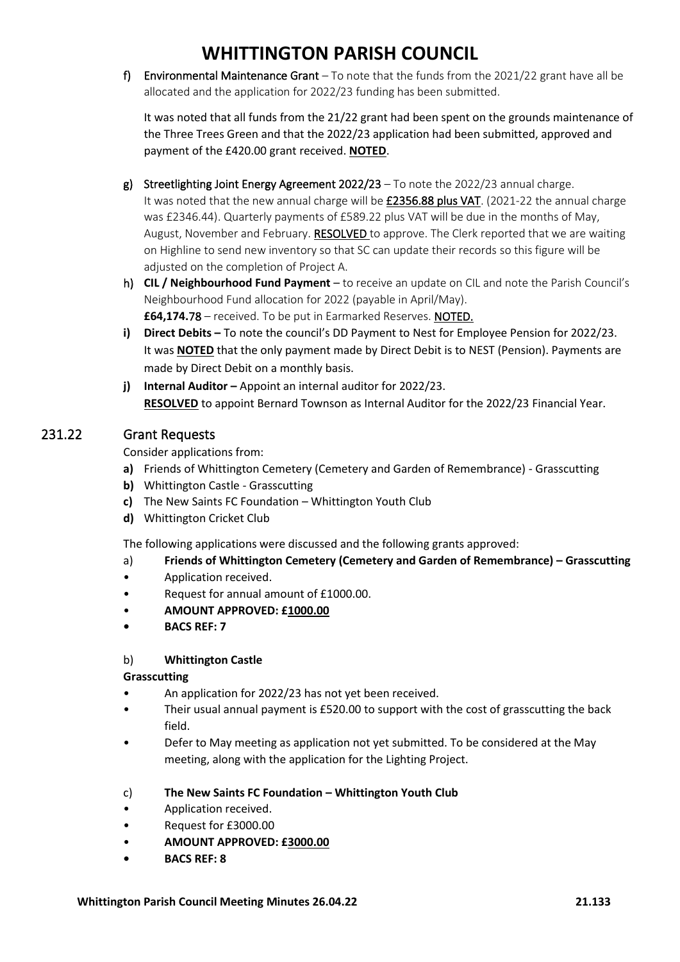f) Environmental Maintenance Grant  $-$  To note that the funds from the 2021/22 grant have all be allocated and the application for 2022/23 funding has been submitted.

It was noted that all funds from the 21/22 grant had been spent on the grounds maintenance of the Three Trees Green and that the 2022/23 application had been submitted, approved and payment of the £420.00 grant received. **NOTED**.

- g) Streetlighting Joint Energy Agreement 2022/23 To note the 2022/23 annual charge. It was noted that the new annual charge will be £2356.88 plus VAT. (2021-22 the annual charge was £2346.44). Quarterly payments of £589.22 plus VAT will be due in the months of May, August, November and February. RESOLVED to approve. The Clerk reported that we are waiting on Highline to send new inventory so that SC can update their records so this figure will be adjusted on the completion of Project A.
- h) **CIL / Neighbourhood Fund Payment** to receive an update on CIL and note the Parish Council's Neighbourhood Fund allocation for 2022 (payable in April/May). **£64,174.**78 – received. To be put in Earmarked Reserves. NOTED.
- **i) Direct Debits –** To note the council's DD Payment to Nest for Employee Pension for 2022/23. It was **NOTED** that the only payment made by Direct Debit is to NEST (Pension). Payments are made by Direct Debit on a monthly basis.
- **j) Internal Auditor** Appoint an internal auditor for 2022/23. **RESOLVED** to appoint Bernard Townson as Internal Auditor for the 2022/23 Financial Year.

# 231.22 Grant Requests

Consider applications from:

- **a)** Friends of Whittington Cemetery (Cemetery and Garden of Remembrance) Grasscutting
- **b)** Whittington Castle Grasscutting
- **c)** The New Saints FC Foundation Whittington Youth Club
- **d)** Whittington Cricket Club

The following applications were discussed and the following grants approved:

- a) **Friends of Whittington Cemetery (Cemetery and Garden of Remembrance) – Grasscutting**
- Application received.
- Request for annual amount of £1000.00.
- **AMOUNT APPROVED: £1000.00**
- **• BACS REF: 7**

# b) **Whittington Castle**

# **Grasscutting**

- An application for 2022/23 has not yet been received.
- Their usual annual payment is £520.00 to support with the cost of grasscutting the back field.
- Defer to May meeting as application not yet submitted. To be considered at the May meeting, along with the application for the Lighting Project.
- c) **The New Saints FC Foundation – Whittington Youth Club**
- Application received.
- Request for £3000.00
- **AMOUNT APPROVED: £3000.00**
- **• BACS REF: 8**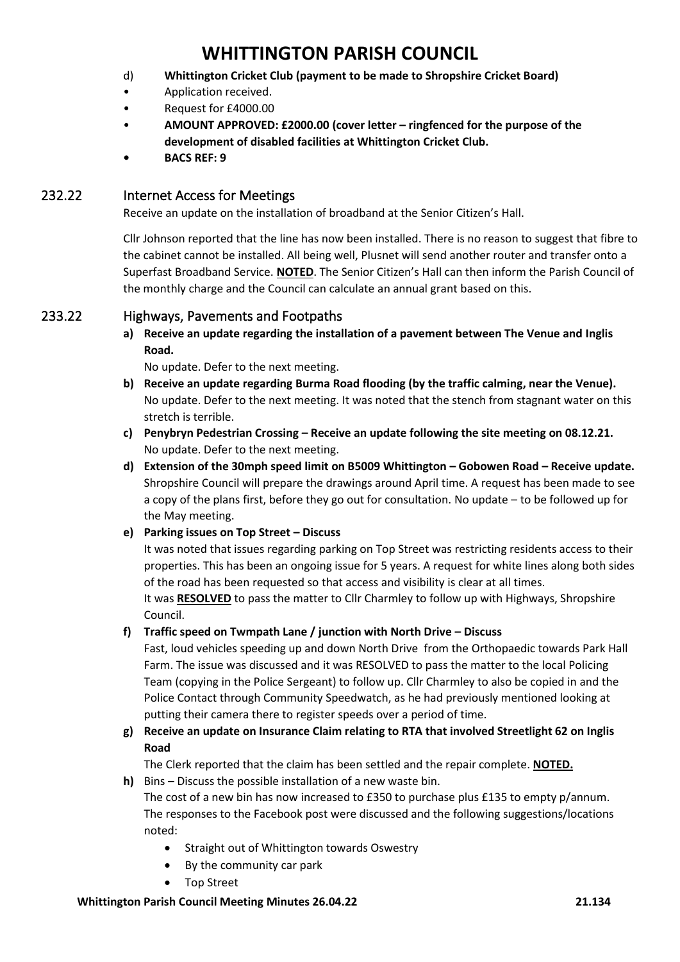- d) **Whittington Cricket Club (payment to be made to Shropshire Cricket Board)**
- Application received.
- Request for £4000.00
- **AMOUNT APPROVED: £2000.00 (cover letter – ringfenced for the purpose of the development of disabled facilities at Whittington Cricket Club.**
- **• BACS REF: 9**

# 232.22 Internet Access for Meetings

Receive an update on the installation of broadband at the Senior Citizen's Hall.

Cllr Johnson reported that the line has now been installed. There is no reason to suggest that fibre to the cabinet cannot be installed. All being well, Plusnet will send another router and transfer onto a Superfast Broadband Service. **NOTED**. The Senior Citizen's Hall can then inform the Parish Council of the monthly charge and the Council can calculate an annual grant based on this.

# 233.22 Highways, Pavements and Footpaths

**a) Receive an update regarding the installation of a pavement between The Venue and Inglis Road.**

No update. Defer to the next meeting.

- **b) Receive an update regarding Burma Road flooding (by the traffic calming, near the Venue).** No update. Defer to the next meeting. It was noted that the stench from stagnant water on this stretch is terrible.
- **c) Penybryn Pedestrian Crossing – Receive an update following the site meeting on 08.12.21.** No update. Defer to the next meeting.
- **d) Extension of the 30mph speed limit on B5009 Whittington – Gobowen Road – Receive update.** Shropshire Council will prepare the drawings around April time. A request has been made to see a copy of the plans first, before they go out for consultation. No update – to be followed up for the May meeting.
- **e) Parking issues on Top Street – Discuss**

It was noted that issues regarding parking on Top Street was restricting residents access to their properties. This has been an ongoing issue for 5 years. A request for white lines along both sides of the road has been requested so that access and visibility is clear at all times.

It was **RESOLVED** to pass the matter to Cllr Charmley to follow up with Highways, Shropshire Council.

**f) Traffic speed on Twmpath Lane / junction with North Drive – Discuss**

Fast, loud vehicles speeding up and down North Drive from the Orthopaedic towards Park Hall Farm. The issue was discussed and it was RESOLVED to pass the matter to the local Policing Team (copying in the Police Sergeant) to follow up. Cllr Charmley to also be copied in and the Police Contact through Community Speedwatch, as he had previously mentioned looking at putting their camera there to register speeds over a period of time.

**g) Receive an update on Insurance Claim relating to RTA that involved Streetlight 62 on Inglis Road**

The Clerk reported that the claim has been settled and the repair complete. **NOTED.**

**h)** Bins – Discuss the possible installation of a new waste bin.

The cost of a new bin has now increased to £350 to purchase plus £135 to empty p/annum. The responses to the Facebook post were discussed and the following suggestions/locations noted:

- Straight out of Whittington towards Oswestry
- By the community car park
- Top Street

#### **Whittington Parish Council Meeting Minutes 26.04.22 21.134**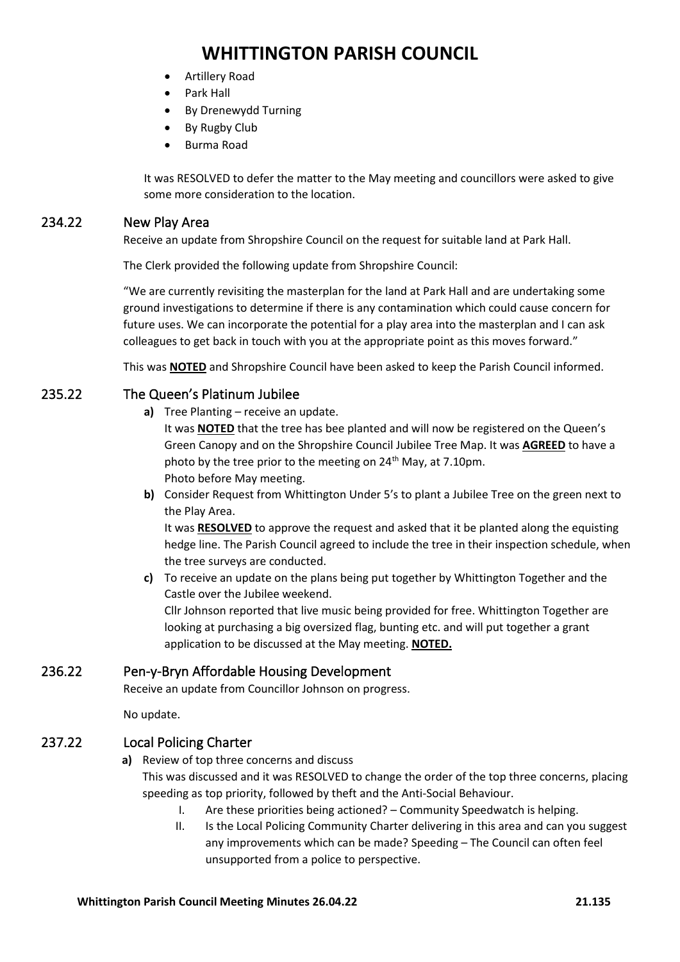- Artillery Road
- Park Hall
- By Drenewydd Turning
- By Rugby Club
- Burma Road

It was RESOLVED to defer the matter to the May meeting and councillors were asked to give some more consideration to the location.

### 234.22 New Play Area

Receive an update from Shropshire Council on the request for suitable land at Park Hall.

The Clerk provided the following update from Shropshire Council:

"We are currently revisiting the masterplan for the land at Park Hall and are undertaking some ground investigations to determine if there is any contamination which could cause concern for future uses. We can incorporate the potential for a play area into the masterplan and I can ask colleagues to get back in touch with you at the appropriate point as this moves forward."

This was **NOTED** and Shropshire Council have been asked to keep the Parish Council informed.

# 235.22 The Queen's Platinum Jubilee

**a)** Tree Planting – receive an update.

It was **NOTED** that the tree has bee planted and will now be registered on the Queen's Green Canopy and on the Shropshire Council Jubilee Tree Map. It was **AGREED** to have a photo by the tree prior to the meeting on 24<sup>th</sup> May, at 7.10pm. Photo before May meeting.

**b)** Consider Request from Whittington Under 5's to plant a Jubilee Tree on the green next to the Play Area.

It was **RESOLVED** to approve the request and asked that it be planted along the equisting hedge line. The Parish Council agreed to include the tree in their inspection schedule, when the tree surveys are conducted.

**c)** To receive an update on the plans being put together by Whittington Together and the Castle over the Jubilee weekend. Cllr Johnson reported that live music being provided for free. Whittington Together are looking at purchasing a big oversized flag, bunting etc. and will put together a grant application to be discussed at the May meeting. **NOTED.**

# 236.22 Pen-y-Bryn Affordable Housing Development

Receive an update from Councillor Johnson on progress.

No update.

# 237.22 Local Policing Charter

**a)** Review of top three concerns and discuss

This was discussed and it was RESOLVED to change the order of the top three concerns, placing speeding as top priority, followed by theft and the Anti-Social Behaviour.

- I. Are these priorities being actioned? Community Speedwatch is helping.
- II. Is the Local Policing Community Charter delivering in this area and can you suggest any improvements which can be made? Speeding – The Council can often feel unsupported from a police to perspective.